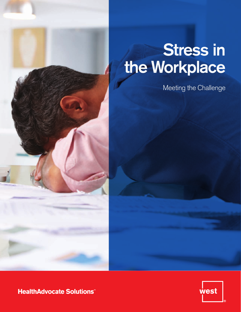

# Stress in the Workplace

Meeting the Challenge



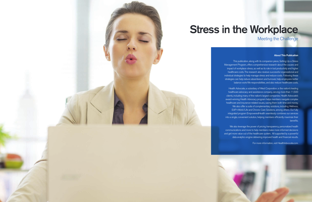#### About This Publication

This publication, along with its companion piece, Setting Up a Stress Management Program, offers comprehensive research about the causes and impact of workplace stress, as well as its role in lost productivity and higher healthcare costs. The research also reviews successful organizational and individual strategies to help manage stress and reduce costs. Following these strategies can help reduce absenteeism and turnover, help employees better balance work/life responsibilities, and also reduce healthcare costs.

We also leverage the power of pricing transparency, personalized health communications and more to help members make more informed decisions and get more value out of the healthcare system. All supported by a powerful data analytics engine delivering improved health and financial results.

Health Advocate, a subsidiary of West Corporation, is the nation's leading healthcare advocacy and assistance company, serving more than 11,500 clients, including many of the nation's largest companies. Health Advocate's award-winning Health Advocacy program helps members navigate complex healthcare and insurance-related issues, saving them both time and money. We also offer a suite of complementary solutions, including Wellness, EAP+Work/Life and Chronic Care Solutions, among others. Our fully integrated program EmpoweredHealth seamlessly combines our services into a single, convenient solution, helping members efficiently maximize their benefits.

For more information, visit HealthAdvocate.com.





# Stress in the Workplace Meeting the Challenge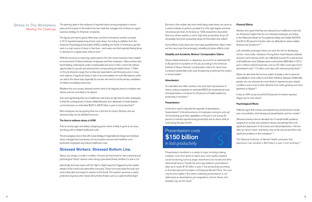The figures are hard to ignore. More than one-third of American workers surveyed in 2013 reported experiencing chronic work stress. According to statistics from the American Psychological Association (APA), a startling two-thirds of Americans say that work is a main source of stress in their lives – and nearly one-third reported feeling tense or stressed on a regular basis while at work.<sup>1,2</sup>

The alarming spike in the incidence of reported stress among employees in recent years and its impact on the bottom line has made the management of stress an urgent business strategy for American companies.

And most significantly, they incur healthcare costs twice as high than for other employees. In total, the consequences of stress-related illnesses, from depression to heart disease, cost businesses an estimated \$200 to \$300 billion a year in lost productivity.<sup>3,4</sup>

While the economy is improving, repercussions from the recent recession have created an environment of distrust between employees and their employers. Many workers also report feeling undervalued, under-compensated and stuck in their current role without opportunities for growth and advancement, compounding job-related stress. <sup>2,3</sup> Other on-the-job stressors range from unclear job expectations and time pressures to noisy work stations. A significant factor is lack of accommodation for work/life balance, which can add to the stress load, especially for women who tend to be the primary caretakers of children and elderly loved ones.

Specifically, the body reacts with the "fight or flight response" triggered by the sudden release of the cortisol and adrenaline hormones. These hormones keep the body and mind coiled, alert and ready for reaction to the threat. This reaction served as a useful, protective response when faced with primitive threats such as a saber-toothed tiger.<sup>5</sup>

But even in the modern-day work world, being under stress can serve a useful motivator to perform, provided it is in the right degree and does not produce job strain. As far back as 1908, researchers discovered that once stress reaches a mid to high level, productivity drops off remarkably. And when productivity drops off, the bottom line suffers.<sup>6</sup>

Whatever the root causes, stressed workers tend to be fatigued, prone to mistakes and injuries, and are more likely to be absent.

More employers are recognizing that now is the time for action. Workers who are stressed today can be disabled tomorrow.

#### The time to address stress is NOW

And, as society ages and elderly caregiving grows, stress is likely to grow as an issue, and along with it, inflated healthcare costs.

As the term used to describe the opposite of absenteeism, "presenteeism" is the phenomenon of employees coming to work yet not functioning up to their capabilities on the job. In one survey, 60 percent of workers reported losing productivity due to stress while at work during the past month.<sup>8</sup>

The encouraging news is that, with a dual strategy of organizational change and individual stress management, businesses can be proactive and promote healthier, more productive employees and reduce healthcare costs.

> Presenteeism manifests in a variety of ways, including making mistakes, more time spent on tasks, poor work quality, impaired social functioning, burnout, anger, resentment, low morale and other detrimental factors. Overall, the price tag related to presenteeism adds up to nearly \$150 billion a year in lost productivity, according to the International Foundation of Employee Benefit Plans. The cost may be even higher if the stress underlying presenteeism is not addressed, as absenteeism, job resignations, chronic illness, and disability may be the result.<sup>7</sup>

### Stressed Workers. Stressed Bottom Line.

Stress, very simply, is a built-in condition. Humans are hard-wired to have a physical and psychological "stress" reaction when facing a perceived threat, whether it is real or not.

Workers who report that they are stressed incur healthcare costs that are 46 percent higher than for non-stressed employees, according to the National Institute for Occupational Safety and Health (NIOSH). And 60 to 90 percent of doctor visits are attributed to stress-related illnesses and symptoms.<sup>9,10</sup>

Left untreated, prolonged stress can raise the risk for developing chronic—and costly—diseases. Among them: heart disease, diabetes and even some cancers, which can collectively account for a vast amount of all healthcare costs. Diabetes alone cost business \$69 billion in 2012 just in indirect medical expenses, such as 25 million work days lost to absenteeism and 113 million work days with reduced productivity.8,11

Stress can also lower the immune system and play a role in a person's susceptibility to more colds, flu and other infectious diseases. Additionally, people who are stressed are more likely to experience pain-related conditions and a host of other ailments, from teeth grinding and chest tightness to fatigue.<sup>5,8</sup>

In fact, an APA survey found that 53 percent of workers reported fatigue due to work stress.<sup>8</sup>

Stressed workers have an elevated risk of mental health problems, ranging from anxiety and substance abuse, and perhaps the most significant, depression. In fact, stress and clinical depression—the two often go hand in hand—trail family crisis as the second and third most significant problems in the workplace. $8,13$ 

Some effects of job stress are more easily quantified than others. Here are the many ways that prolonged, unhealthy job stress affects costs:

#### Disability and Accidents, Workers' Compensation Claims

Stress-related distraction or sleepiness account for an estimated 60 to 80 percent of accidents on the job, according to the American Institute of Stress. Workers' compensation claims for stress have increased substantially every year, threatening to bankrupt the system in several states.4

#### Absenteeism

An estimated one million workers miss work each day because of stress, costing companies an estimated \$602 per employee per year. And absenteeism is to blame for 26 percent of health-related lost productivity in business.4,7

#### Presenteeism

## Presenteeism costs \$150 billion in lost productivity

| as |  | <b>Physical Effects</b> |
|----|--|-------------------------|
|----|--|-------------------------|

#### Psychological Effects

Hallmark signs that workers are experiencing mental duress include poor concentration, short temper, job dissatisfaction and low morale.12

The National Institutes of Mental Health estimates that depression has resulted in \$23 billion a year in lost workdays.14

### Stress In The Workplace Meeting The Challenge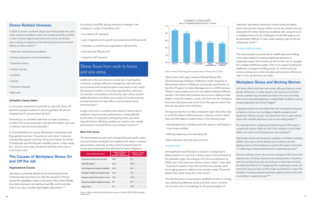### Stress-Related Illnesses

A 2004 Lluminari Landmark Study found that people who work under stressful conditions, which can include work/life conflicts or lack of social support, autonomy and control, are at least twice as likely to experience the following physical and mental effects as other workers:15

In one survey, researchers found that to cope with stress, 40 percent of people smoked, 41 percent gambled, 35 percent shopped and 27 percent drank alcohol.<sup>8</sup>

Overeating is an unhealthy habit that can lead to obesity, a condition that costs businesses more than \$13 billion each year in medical costs and lost productivity.<sup>16</sup>

- Heart and cardiovascular problems
- Anxiety, depression and demoralization
- Substance abuse
- Certain cancers
- Conflicts
- Injuries
- Infectious diseases
- Back pain

In a CareerBuilder.com survey, 26 percent of employees said they gained more than 10 pounds at work, while 12 percent indicated they gained more than 20 pounds. Nearly two-thirds of employees say that they eat unhealthy snacks—chips, candy, etc.—at work once a day; 25 percent said they did so two or more times a day.<sup>17</sup>

#### Unhealthy Coping Habits

Job stress is commonly defined as the harmful physical and emotional responses that occur when the demands of the job exceed the capabilities, needs or resources of the worker. Studies show that employees who feel they have little control over their work in one way or another report higher stress levels.<sup>12,18</sup>

Longer work hours is another prime stressor. Almost half of employers report business performance is being affected by the stress of employees working long hours, and other impactful factors. Working overtime can result in poor mental performance, increased illness and workplace injuries.<sup>20,21</sup>

### The Causes of Workplace Stress On and Off the Job

#### Organizational Causes

According to the APA, the top stressors for people in the workplace, in order of importance, are:3

6 година в 1986 година од најбира <u>подата на стала 1986 година од најб</u>ира 1988 година од 1988 година од 1988 година<br>Во 1988 година од 1988 година од 1988 година од 1988 година од 1988 година од 1988 година од 1988 година *Source: Watson Wyatt/National Business Group on Health 2007/2008 Staying@ Work report*

COMMON STRESSORS<br>Very or somewhat significant source of stress



*Source: American Psychological Association. Stress in America. Feb. 4, 2015*

- Low salaries (51 percent)
- Lack of opportunity for growth and advancement (44 percent)
- Uncertain or undefined job expectations (39 percent)
- Job insecurity (38 percent)
- Long hours (37 percent)

## Stress flows from work to home and vice versa

The figures bear this out. Many employers report that stress due to work/life balance affects business. Likewise, workers report that work/life balance creates stress in the following ways: symptoms of stress, such as fatigue, irritability, headaches and depression. Women are also more likely than men to cope with job stress with unhealthy behaviors, such as poor eating habits.<sup>8,18</sup>

- Job demands have interfered with their ability to fulfill family or home responsibilities For working women, caregiving and balancing work/life issues is a significant stressor. Well over half of the caregivers in the United States are women and 59 percent are also employed.<sup>38</sup>
- Difficulty balancing work and family life
- Work interferes with their personal time<sup>8</sup>

Additional on-the-job stressors include lack of participation in decision-making, ineffective management style and work environments that include disruptive noise levels. In fact, nearly 60 percent of workers in one study reported that noise such as coworker conversations enhanced by open offices caused added distraction and stress, and a study at Cornell University showed that even low-level office noise increased stress hormone levels.19

> One significant work/life balance stressor is caregiving for elderly parents, an issue that is likely to grow more prominent as the population ages. According to U.S. Census projections, by 2030, one in five Americans will be a senior citizen.<sup>22</sup> And, while 14 percent of adults in their 40s and 50s have already cared for an aging parent or elderly family member, nearly 70 percent believe they will be doing this in the future.<sup>23</sup>

#### Work/Life Issues

The downturned economy and corresponding job layoffs, salary cuts, and heavier workloads have added to the stress in workers' personal lives, especially as they confront strained financial issues and compressed time allotment for family obligations.

| <b>Cause of Employee Stress</b>                  | <b>Employers Who Say</b><br><b>Stress Affects</b><br><b>Business Performance</b> | <b>Employers Taking</b><br><b>Strong Action</b> |
|--------------------------------------------------|----------------------------------------------------------------------------------|-------------------------------------------------|
| Long hours, doing more with less                 | 48%                                                                              | 5%                                              |
| Work/life balance                                | 32%                                                                              | 16%                                             |
| Technologies that expand availability            | 29%                                                                              | 6%                                              |
| Managers' inability to recognize stress          | 24%                                                                              | 7%                                              |
| Managers' inability to find solutions for stress | 20%                                                                              | 14%                                             |
| Extra time, problems related to security         | 8%                                                                               | 2%                                              |
| Safety fears                                     | 5%                                                                               | 27%                                             |

Specifically, women are the primary caretakers of children, including children who have a chronic illness such as asthma, now the leading cause of school absence as well as the cause of more than 15 million days of less productive work or absences per year.<sup>27</sup>

"Stress flows both ways," explains Michael Baime, M.D., Clinical Associate Professor of Medicine at the University of Pennsylvania School of Medicine, and founder and Director of the Penn Program for Stress Management, in a 2009 interview. "Stress is accumulated over time and additive between different domains. The stress that someone has at home, relating to their health or financial situation, comes with them into the workplace. And when they leave work at the end of the day, the stress from their job also goes home with them."

#### Caregiver stress

The daunting tasks of searching for qualified in-home or nursing care, addressing Medicare issues and other senior concerns can be even more of a challenge for the growing legion of

"sandwich" generation Americans—those caring for elderly loved ones and also raising children. As for the workers who are among the 52 million Americans burdened with caring for an ill or disabled loved one, the challenges of work/life balance can be particularly difficult. In many cases, leaving a job can be the unfortunate result.24

#### Complex healthcare issues

The move towards consumer-driven health plans and shifting more responsibility for making healthcare decisions to employees means that workers are left on their own to navigate the complex healthcare system. They must resolve burdensome healthcare coverage and billing issues, for instance, during normal working hours when providers and insurance offices are open. In turn, productivity can suffer.

### Workplace Stress and Working Women

| Ι.  | Job stress affects both men and women, although there are some     |
|-----|--------------------------------------------------------------------|
| ıt  | gender differences in certain aspects. One study has found that    |
| ir. | women experiencing cumulative job stress are much more likely      |
| e.  | than men to have associated poor mental health conditions, such as |
| n   | anxiety, depression and chronic fatigue. <sup>25</sup>             |
|     |                                                                    |
|     | In general, women are more likely than men to experience physical  |

Overall, working women who are also caregivers often face work adjustments, including reduced hours, taking leaves of absence and even quitting their jobs, according to a report sponsored by the National Alliance for Caregiving. Not surprisingly, women are more than twice as likely as their male counterparts to report the benefits of having employer-provided support systems that offer counseling or support groups.28,29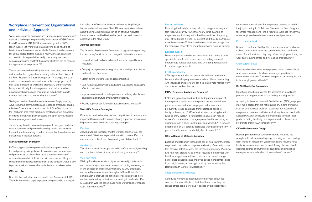### Workplace Intervention: Organizational and Individual Approach

"Work stress imposes enormous and far-reaching costs on workers' well-being and corporate profitability," says former NIOSH Director Linda Rosenstock, M.D., M.P.H. In commenting on the NIOSH report "Stress…at Work," she remarked: "The good news is, at least some of these costs are avoidable. Research and experience tell us that certain factors, such as a heavy workload, conflicting or uncertain job responsibilities and job insecurity, are stressors across organizations and that the risk for job stress can be reduced through smart, strategic action."30

The company has also instituted a program to recognize workers' accomplishments and promote leadership training. As a result of these efforts, the company reported no major layoffs and an annual attrition rate of just four percent.<sup>31</sup>

NIOSH suggests that companies evaluate the scope of stress in the workplace by looking at absenteeism, illness and turnover rates and performance problems. From there, employee surveys and/ or committees can help determine specific stressors and if they are concentrated in one specific department or are company-wide. It is also important to ask employees what strategies may provide remedies.<sup>12</sup>

The success depends on a long-term and dedicated commitment on the part of the organization, according to Dr. Michael Baime of the Penn Program for Stress Management. "If changes are to be made to reduce costly stress in the workplace, employers must truly value the health as well as the productivity of their workers," he says. "Additionally, the strategy must be a dual approach of organizational changes and encouraging individuals to learn to manage their stress, no matter what the source."

that helps identify risks for diseases and contributing lifestyle factors, such as stress levels. The HRA enables workers to learn about their individual risks and can be an effective motivator towards making healthy lifestyle changes to reduce those risks, according to the Mayo Clinic.<sup>32</sup>

Strategies need not be elaborate or expensive. Simply planning ways to improve communication and recognize employees can be effective. For example, supervisors of North Side Food, based in the Pittsburgh area, meet with hourly employees every six weeks in order to identify workplace stressors and open communication between management and workers.

- Ensure that workloads are in line with workers' capabilities and resources.
- Design jobs to provide meaning, stimulation and opportunities for workers to use their skills.
- Clearly define workers' roles and responsibilities.
- Give workers opportunities to participate in decisions and actions affecting their jobs.
- Improve communications to help reduce uncertainty about career development and future employment prospects.
- Provide opportunities for social interaction among workers.<sup>12</sup>

#### Start with Honest Evaluation

This allows at least two people trained to perform each job, enabling each employee to have time off without losing productivity.<sup>33</sup>

#### Offer an HRA

One effective evaluation tool is a Health Risk Assessment (HRA). The HRA is an online or print questionnaire provided to employees EAPs are typically offered by the HR department as part of the employer's health insurance plan to assess and address personal issues that affect employee performance and productivity. Issues can range from substance abuse to family problems, and EAPs often include counseling benefits. Studies show that EAPs for substance abuse can reduce workers' compensation claims, employer healthcare costs, and absenteeism. In a study involving 50 companies, EAPs reduced absenteeism by 21 percent, decreased workplace injuries by 17 percent and increased productivity by 14 percent.<sup>36,37</sup>

#### Address Job Roles

The American Psychological Association suggests a range of ways that a company's culture can be changed to help reduce stress:

#### Work/Life Balance Strategies

Establishing work schedules that are compatible with demands and responsibilities outside the job and offering supportive services can help reduce stress. Here are some key strategies:

Research has found that light to moderate exercise such as a walking or yoga can lower the cortisol levels that can lead to stress. A short walk each day may refresh employees during the work day, reducing stress and increasing productivity.<sup>39,40</sup>

#### Flex time.

Stress can be alleviated when employees share concerns about work issues, life crises, family issues, caregiving and stress management methods. These support groups can be ongoing and include employees at all levels.<sup>41</sup>

Allowing workers to start or end the workday earlier or later can reduce work/life stress, especially for working parents. Flex time can also reduce the stress of commuting in rush hour traffic.18

#### Job sharing.

According to the Americans with Disabilities Act (ADA), employers must make certain they are not requiring any exams or making inquiries of employees that may reveal any information about any physical or mental health issues that may be associated with a disability. Overall, employers are encouraged to obtain legal guidance during the design and implementation of a wellness program to ensure ADA compliance.<sup>42,43</sup>

#### Work from home

Reducing environmental stress may include refiguring the workplace to include natural lighting, improving air flow, providing quiet rooms for massage or yoga sessions and reducing noise levels. When noise levels are reduced through the use of welldesigned ceilings and furniture or sound masking machines, employee focus is estimated to increase by 48 percent.<sup>19</sup>

Working from home results in higher morale and job satisfaction and lower employee stress and turnover, according to an analysis of two decades of studies involving nearly 13,000 employees, conducted by researchers at Pennsylvania State University. The prime reason is that working at home provides employees more control over how they do their work, according to lead author Ravi S. Gajendran. Working at home also helps workers better manage work/family demands.34

#### Longer lunch hours

Extending the lunch hour may help discourage snacking and fast food. One survey found that nearly three quarters of employees say that they eat unhealthy snacks—chips, candy, etc.—at work once a week; 27 percent said they did so three or more times a week.35 Adequate time may also encourage time for calming or other stress-reduction activities such as walking.

#### Eldercare support

Many companies have begun to contract with geriatric care specialists to help with issues such as finding doctors to address age-related diagnosis, and arranging transportation to medical appointments.

#### Healthcare advocacy

Offering an expert who can personally address healthcare issues, such as helping to resolve medical bills and interacting with insurance and providers, can help employees reduce worry and stay focused on their job.

#### EAPs (Employee Assistance Programs)

#### Offer a Range of Wellness Activities

Exercise and relaxation techniques can all help lower the stress response in the body and improve well-being. One study shows that physical activity at work can increase productivity. Providing two, half-hour breaks twice a week resulted in employees with healthier weight, lowered blood pressure, increased energy, better sleep schedules and improved stress management skills, in just eight weeks, according to a study conducted by the Baptist Health System in Mississippi.38

#### Stress management workshops

Scheduled workshops that educate employees about the sources of stress, effects on their health and how they can reduce stress can be effective if backed by practical stress management techniques that employees can use on and off the job, according to Dr. Michael Baime of the Penn Program for Stress Management. Find a reputable wellness vendor that offers employer-based stress management programs.

#### Build in exercise breaks

#### Onsite support groups

#### Do Not Single Out Employees

Identifying specific employees for participation in wellness programs is inappropriate, discriminating and stigmatizing.

#### Office Environmental Design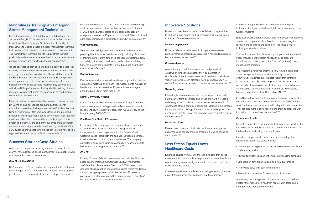Mindfulness training, a method that was first developed by Jon Kabat-Zinn, Ph.D., founder of the Center for Mindfulness in Medicine, Health Care, and Society at the University of Massachusetts Medical School, is a stress management technique that involves training the mind to focus attention on the moment. This "mindfulness" technique aims to reduce stress, increase productivity and enhance awareness through relaxation techniques, physical exercises and cognitive behavioral approaches.<sup>44</sup>

## Mindfulness Training: An Emerging Stress Management Technique

Emerging evidence reveals the effectiveness of the technique. Dr. Baime and his colleagues conducted a three-month mindfulness-based work site program at the Philadelphia-based Scheie Eye Institute. After employees learned and practiced mindfulness techniques for a period of six weeks, their reported emotional exhaustion decreased from nearly 25 percent to almost 15 percent. At the end of the full three-month program, depression and fatigue were both reduced by nearly half. Other early evidence shows that mindfulness can improve how people regulate their attention and ability to concentrate.<sup>45,46</sup>

"These approaches train people to find the ability to locate rest, stillness, silence, and qualities of peace and relaxation into their everyday moments," explains Michael Baime, M.D., director of the Penn Program for Stress Management in Philadelphia and a leading authority on the training. "Mindfulness helps them manage their own impulses and reactivity, they become less critical, and it helps them meet their goals. The training diffuses reactivity in a way that others can sense, and so can become contagious in the workplace."

determine the sources of stress, which identified late meetings, artificial deadlines and other on-the-job stressors. By the end of 2008, participants reported an 80 percent reduction in workplace pressures, a 25 percent drop in work/life conflict, and a 21 percent increase in satisfaction with GSK as an employer.<sup>47</sup>

Delnor Community Hospital, located near Chicago, found that stress management strategies reduced employee turnover from 28 percent down to nearly 21 percent in two years, saving the hospital nearly \$800,000.<sup>50</sup>

In a survey of their employees, 42 percent showed moderate to severe levels of stress. After installing a pilot stress management program in partnership with Boulder Creek, California-based HeartMath, the findings included a decrease in exhaustion—a hallmark symptom of stress. The company estimated it could save \$2 million annually in healthcare costs by instituting the program in all locations.<sup>51</sup>

#### **CEMEX**

## Success Stories/Case Studies

A number of companies, including some of the largest in the country, have addressed stress management in a variety of ways with reported success in several areas.

Utilizing 10 years of data from employee stress studies, Houstonbased building materials manufacturer CEMEX implemented an Online Stress Management Seminar in 2009 to assess and diagnose stress as well as provide individualized recommendations for participating employees. Within the first year, 92 percent of participating employees reported the online seminar an "excellent" option to help improve stress management.<sup>52</sup>

#### GlaxoSmithKline (GSK)

GSK launched its "Team Resilience" program for its employees and managers in 2001 to take corrective team actions against job stressors. The program included an employee survey to

A recent study found that workers who had proximity to windows and indoor plants rated their job satisfaction significantly higher than employees with no direct proximity to "green" elements. Green elements have also been shown to reduce frustration and anxiety on the job, as well as turnover.<sup>54,55</sup>

Interestingly, even employees who have indirect contact with nature suffer from less stress and illness and have increased well-being as well as clearer thinking. As a creative solution for windowless offices, some companies are installing large screens throughout office buildings that depict natural settings, such as oceans and forests. Employees can have input on what is shown on the screens.<sup>56</sup>

#### WRSystems, Ltd.

Virginia-based WRSystems addressed work/life balance by providing flex time, work from home and job sharing. As a result of their mentor program, employee education programs, health and safety guidelines, as well as work/life balance policies, turnover, injuries and accidents were reduced and healthcare claims fell significantly.48

#### Bank of America

Bank of America implemented a wellness program that featured educational materials and Health Risk Assessments. As a result, healthcare costs decreased by 20 percent over a two-year period with an ROI of more than 5:1.49

#### Delnor Community Hospital

The researchers remarked that these early results indicate that stress management programs were a relatively no-cost but effective way to address stress-related factors that contribute to healthcare costs. "By addressing stress at work, where stress occurs, rather than in a clinic, we think we have prevented workers from becoming patients," according to one of the investigators, Massimo Pagani, M.D., of the University of Milan.<sup>59,60</sup>

#### BlueCross BlueShield of Tennessee

In addition to lowering healthcare costs, numerous surveys also show that less stressed workers and those satisfied with their work/life balance are more inclined to stay with their companies. They are also more likely to recommend them as places to work. It all adds up to a healthier bottom line. $61,62$ 

## Innovative Solutions

Many companies have turned to "out-of-the-box" approaches to address stress, geared to their organization. Here are some examples of innovative strategies:

#### In-house art programs.

#### Simulating nature.

#### Pets in the office.

Researchers have found that pets can have a calming effect on humans and can lower blood pressure, a leading cause of doctor visits.57,58

Burlington, Massachusetts-based Lightbridge, an e-commerce payment management company, established in-house art programs to help employees channel stress.<sup>53</sup> Green workplaces. The results showed that those who participated in the authentic stress management program had lower blood pressure than those who participated in the "passive" (not real) stress management program.

## Less Stress Equals Lower Healthcare Costs

Emerging studies from around the world indicate that stress management in the workplace helps stem the tide of healthcare costs, and may be especially important in the face of the current global economic climate.

One recent preliminary study reported in Hypertension, focused on an Italian company facing downsizing. The company's

workers who reported work-related stress had a higher incidence of fatigue, headaches, high blood pressure and other typical symptoms.

Employees were offered a weekly, one-hour stress management session focusing on mental relaxation techniques, cognitive restructuring exercises and coping skills to handle stress, including work-related stress.

#### Commitment is Key

No matter what stress management techniques are installed, the key to success is to have a continuing commitment to improving the health and well-being of all employees.

Important components to ensure a business strategy that successfully addresses stress include:

- Long-range strategies customized to the employee population and company culture
- Multiple approaches and an ongoing communications campaign
- Emphasis on both organizational and individual change
- Achievable goals with built-in time tables
- Rewards and incentives for even the small changes

Addressing the management of stress can be a vital wellness strategy that makes for a healthier, happier workforce and a stronger, more productive company.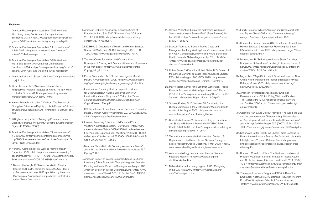#### **Footnotes**

- 1. American Psychological Association. "2013 Work and Well-Being Survey." APA Center for Organizational Excellence. 2013. <http://www.apaexcellence.org/assets/ general/2013-work-and-wellbeing-survey-results.pdf>.
- 2. American Psychological Association. "Stress in America." 4 Feb. 2015. <http://apa.org/news/press/releases/ stress/2014/stress-report.pdf>.
- 3. American Psychological Association. "2014 Work and Well-Being Survey." APA Center for Organizational Excellence. 2014. <http://www.apaexcellence.org/assets/ general/2014-work-and-wellbeing-survey-results.pdf>.
- 4. American Institute of Stress. "Job Stress." <http://www.stress. org/job.htm>.
- 5. Wein, Harrison, Ph. D. "Stress and Disease: New Perspectives." National Institutes of Health, The NIH Word on Health. October 2000. <http://www.nih.gov/news/ WordonHealth/oct2000/ story01.htm>.
- 6. Yerkes, Robert M. and John D. Dodson. "The Relation of Strength of Stimulus to Rapidity of Habit-Formation." Journal of Comparative Neurology and Psychology. 18 (1908): 459- 462.
- 7. Willingham, Jacqueline G. "Managing Presenteeism and Disability to Improve Productivity." Benefits & Compensation Digest. 45.12 (Dec. 2008).
- 8. American Psychological Association. "Stress in America." 7 Oct. 2008. <http://apahelpcenter.mediaroom.com/file. php/163/Stress+in+America+Executive+Summary+10- 02-08+NO+Embargo.doc>.
- 9. Humana. "Combat Stress at Work to Promote Health." Focus. Apr. 2009. <http://apps.humana.com/marketing/ documents.asp?file=1143441>. http://www.dmaonline.org/ Publications/articles/2005\_02\_039StressChange.pdf.
- 10. Benson, Herbert, M. D. "Role of the Mind in Physical Healing and Health." Testimony before the U.S. House of Representatives. Nov. 1997. (published by American Psychological Association.) <http://home1.inet.tele.dk/ torlars/Peace/relax.htm>.
- 11. American Diabetes Association. "Economic Costs of Diabetes in the U.S. in 2012." Diabetes Care. 26.4 (April 2013): 1033-1046. <http://care.diabetesjournals.org/ content/36/4/1033.full>.
- 12. NIOSH/U. S. Department of Health and Human Services. Stress…At Work. Pub. 99-101. Washington, D.C.: GPO, 1999. <http://www.cdc.gov/niosh/docs/99-101>.
- 13. The Kent Center for Human and Organizational Development. "Coping With Your Job: Stress and Depression in the Workplace." <http://www.thekentcenter.org/txt-Coping\_with\_Job.pdf>.
- 14. Pfeifer, Stephen M., Ph. D. "Equal Coverage for Mental Health." APApractice.org. 2008. <http://www.apapractice. org/apo/pracorg/legislative/equal\_coverage\_for.html#>.
- 15. Lluminari, Inc. "Creating Healthy Corporate Cultures for Both Genders: A National Employee Survey." A Lluminari Landmark Study. June 2004. <http://www. embracingwomenshealth.com/about/press/lluminari/ OriginalResearchPres.pdf>.
- 16. U.S. Department of Health and Human Services. "Prevention Makes Common 'Cents'." Washington, D.C.: GPO, Sep. 2003. <http://aspe.hhs.gov/health/prevention>.
- 17. Haefner, Rosemary. "Has Your Job Expanded Your Waistline?" CareerBuilder.com. 1 July 2008. <http://msn. careerbuilder.com/Article/MSN-1568-Workplace-Issues-Has-Your-Job-Expanded-Your-Waistline/?ArticleID=1568& cbRecursionCnt=1&cbsid=8532595df22b464ab0aafddb5 51b9dc8-298329381-VB-4>.
- 18. Swanson, Naomi G., Ph. D. "Working Women and Stress." *Journal of the American Women's Medical Association*. 55.2 (Spring 2000).
- 19. American Society of Interior Designers. Sound Solutions: Increasing Office Productivity Through Integrated Acoustic Planning and Noise Reduction Strategies. Washington, D.C.: American Society of Interior Designers. 2005. <http://www. steelcase.com/na/files/6b553f1913a144c6ab61136f58c 560a7/Acoustics%20Sound%20Solutions.pdf>.
- 20. Watson Wyatt. "Few Employers Addressing Workplace Stress, Watson Wyatt Surveys Find." (Press Release) 14 Feb. 2008. <http://www.watsonwyatt.com/news/press. asp?ID=18643>.
- 21. Dawson, Todd, et. al. "Industry Trends, Costs, and Management of Long Working Hours." Conference Abstract at NIOSH Conference: Long Working Hours, Safety and Health: Toward a National Agenda. Apr. 29 – 30, 2004. <http://www.cdc.gov/niosh/topics/workschedules/ abstracts/dawson.html>.
- 22. Hobbs, Frank B. 65+ in the United States. U. S. Bureau of the Census, Current Population Reports, Special Studies, P23-190. Washington, D.C.: GPO, 1996. <http://www. census.gov/prod/1/pop/p23-190/p23-190.html>.
- 23. PewResearch Center. "The Sandwich Generation Rising Financial Burdens for Middle-Aged Americans." 30 Jan. 2013. <http://www.pewsocialtrends.org/files/2013/01/ Sandwich Generation Report FINAL 1-29.pdf>.
- 24. Suthers, Kristen, Ph. D. "Women Still Shouldering the Burden: Caregiving in the 21st Century." Women's Health Activist. July/ August 2006. <http://www.nwhn.org/ newsletter/options/print.cfm?info\_id=84>.
- 25. Godin, Isabelle, et. al. "A Prospective Study of Cumulative Job Stress in Relation to Mental Health." BMC Public Health. 5 (2005) 67+. <http://www.pubmedcentral.nih.gov/ articlerender.fcgi?artid=1177967>.
- 26. The National Women's Health Information Center, U.S. Department of Health and Human Services. "Caregiver Stress: Frequently Asked Questions." 1 May 2008. <http:// www.womenshealth.gov/faq/caregiver-stress.cfm>.
- 27. Asthma and Allergy Foundation of America. "Asthma Facts and Figures." <http://www.aafa.org/print. cfm?id=8&sub=42>.
- 28. National Alliance for Caregiving and AARP. Caregiving in the U. S. Apr. 2004. <http://www.caregiving.org/ data/04finalreport.pdf>.
- 29. Family Caregiver Alliance. "Women and Caregiving: Facts and Figures." May 2003. <http://www.caregiver.org/ caregiver/jsp/content\_node.jsp?nodeid=892>.
- 30. Centers for Disease Control, U.S. Department of Health and Human Services. "Strategies for Preventing Job Stress." (Press Release). 5 Jan. 1999. <http://www.cdc.gov/Niosh/ updates/stresrel.html>.
- 31. Mamula, Kris B. "Reducing Workplace Stress Can Help Companies' Bottom Lines." Pittsburgh Business Times. 14 Nov. 2008. <http://pittsburgh.bizjournals.com/pittsburgh/ stories/2008/11/17/focus5.html>.
- 32. Mayo Clinic. "Mayo Clinic Health Solutions Launches New Online Health Management Tool for Businesses." (Press Release). 8 Nov. 2006. <http://www.mayoclinic.org/ news2006-mchi/3760.html>.
- 33. American Psychological Association. "Employer Recommendations." Public Policy, Work, and Families: The Report of the APA Presidential Initiative on Work and Families. 2004. <http://www.apa.org/work-family/ employers.html>.
- 34. Gajendra, Ravi S. and David A. Harrison. "The Good, the Bad, and the Unknown About Telecommuting: Meta-Analysis of Psychological Mediators and Individual Consequences." *Journal of Applied Psychology*. 92.6 (2007): 1524 - 1541. <http://www.apa.org/journals/releases/apl9261524.pdf>.
- 35. Nationwide Better Health. "As Obesity Rates Continue to Rise, Is the Workplace a Source of or Solution to Unhealthy Lifestyle Habits?" (News Release) ( n.d.). <http://www. nwbetterhealth.com/docs/press-releases/obesity-pressrelease.pdf>.
- 36. Roman, P. M. and T. C. Blum. "The Workplace and Alcohol Problem Prevention." National Institute on Alcohol Abuse and Alcoholism. Alcohol Research and Health. 26.1 (2002): 49-57.<http://csat.samhsa.gov/IDBSE/employee/EAPsth atAddressSubstanceAbuseSaveMoney-wpb9.pdf>.
- 37. "Employee Assistance Programs (EAPs): A Benefit for Employers." Arizona H.I.D.T.A., Demand-Reduction Program, Drug-Free Workplaces, Schools & Communities. (n.d.). <http:// www.drugwatch.org/reports/DWIEAPEng.pdf>.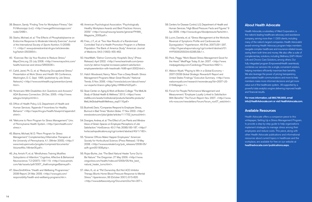- 38. Beason, Sandy. "Finding Time for Workplace Fitness." Get Fit Mississippi. (n.d.). <http://www.getfitmississippi.com/ node/2489>.
- 39. Starks, Michael, et. al. "The Effects of Phosphatidylserine on Endocrine Response to Moderate Intensity Exercise." *Journal of the International Society of Sports Nutrition.* 5 (2008): 11. <http:// www.pubmedcentral.nih.gov/articlerender. fcgi?artid=2503954>.
- 40. "Exercise: Rev Up Your Routine to Reduce Stress." MayoClinic.org. 23 July 2008. <http://www.mayoclinic.com/ health/exercise-and-stress/SR00036>.
- 41. Cahill, Janet, Ph. D., et. al. "Reducing Occupational Stress." Presentation at Work Stress and Health '95 Conference, Washington, D. C. Sept. 1995. (published by Job Stress Network.) <http://www.workhealth.org/prevention/prred. html>.
- 42. "Americans With Disabilities Act: Questions and Answers." ADA Business Connection. 29 Dec. 2005. <http://www. ada.gov/employmt.htm>.
- 43. Office of Health Policy, U.S. Department of Health and Human Services. "Appendix F-Incentives for Healthy Behavior." <http://aspe.hhs.gov/health/blueprint/appendixf. shtml>.
- 44. "Welcome to Penn Program for Stress Management." Univ. of Pennsylvania Health System. <http://pennhealth.com/ stress>.
- 45. Blaime, Michael, M. D. "Penn Program for Stress Management." Complementary/Alternative Therapies at the University of Pennsylvania. 4.1. (Winter 2005). <http:// www.med.upenn.edu/progdev/compmed/documents/ Volume4No.1Winter05.pdf>.
- 46. Jha, Amishi P., et. al. "Mindfulness Training Modifies Subsystems of Attention." Cognitive, Affective & Behavioral Neuroscience. 7.2 (2007): 109-119. <http://www.amishi. com/lab/assets/pdf/2007\_JhaKrompingerBaime.pdf>.
- 47. GlaxoSmithKline. "Health and Wellbeing Programmes." 2008 Report. 24 Mar. 2009. <http://www.gsk.com/ responsibility/health-and-wellbeing-programs.htm>.
- 58. Centers for Disease Control, U.S. Department of Health and Human Services. "High Blood Pressure: Facts and Figures." 9 Apr. 2009. <http://www.cdc.gov/bloodpressure/facts.htm>.
- 59. Lucini, Daniela, et. al. "Stress Management at the Worksite. Reversal of Symptoms Profile and Cardiovascular Dysregulation." Hypertension. 49 (Feb. 2007):291-297. <http://hyper.ahajournals.org/cgi/content/abstract/01. HYP.0000255034.42285.58v1>.
- 60. Peck, Peggy. "Work-Based Stress Management Good for the Heart." MedPage Today. 8 Jan. 2007. <http://www. medpagetoday.com/Cardiology/Prevention/4821>.
- 61. Watson Wyatt. "Playing to Win in a Global Economy 2007/2008 Global Strategic Rewards® Report and United States Findings." Executive Summary. <http://www. watsonwyatt.com/research/resrender.asp?id=2007-US-0164&page=1>.
- 62. Forum for People Performance Management and Measurement. "Employee Loyalty Linked to Satisfaction With Benefits." The Forum Report. Nov. 2007. <http://www. info-now.com/newsletters/forum/forum\_nov07\_web.html>.
- 48. American Psychological Association. "Psychologically Healthy Workplace Awards and Best Practices Honors, 2009." <http://www.phwa.org/assets/general/PHWA\_ Magazine\_2009.pdf>.
- 49. Fries, J. F., et. al. "Two-Year Results of a Randomized Controlled Trial of a Health Promotion Program in a Retiree Population: The Bank of America Study." American Journal of Medicine. 94.5 (1993): 455-462.
- 50. HeartMath. "Delnor Community Hospital's Story," (Press Release). April 2002. <http://www.heartmath.com/pressroom/pr-delnor-hospital-increases-patient-satisfactionemployeeretention-with-heartmath.-%96-april-2002.html>.
- 51. Hatch Woodward, Nancy. "More Than a Deep Breath: Stress Management Programs Mean Great Results." National Trends. 6 Nov. 2006. <http://www.bcbst.com/about/news/ our-experts/sharon-gilley/gilley-HRWire%20.pdf>.
- 52. Sloan Center on Aging & Work at Boston College. "The MetLife Study of Global Health & Wellness." 2013. <https://www. metlife.com/assets/institutional/products/benefits-products/ MetLifeGlobalHealthWellness\_exp0116.pdf>
- 53. Bushnell, Davis. "Companies Respond to Employee Stress, Burnout in Bad Times." Boston Globe. 17 Nov. 2002. <http:// www.boston.com/jobs/globe/articles/111702\_burnout.html>.
- 54. Dravigne, Andrea, et. al. "The Effect of Live Plants and Window Views of Green Spaces on Employee Perceptions of Job Satisfaction." *HortScience.* 43 (1 Feb. 2008):183-187. <http:// hortsci.ashspublications.org/cgi/content/abstract/43/1/183>.
- 55. "Greener Offices Make Happier Employees." American Society for Horticultural Science. (Press Release). 19 May 2008. <http://www.eurekalert.org/pub\_releases/2008-05/ asfh-gom051908.php>.
- 56. Rojas-Burke, Joe. "The Best Natural Healer Turns Out to Be Nature." The Oregonian. 27 May 2009. <http://www. oregonlive.com/health/index.ssf/2009/05/the\_best\_ natural healer turns.html>.
- 57. Allen, K., et. al. "Pet Ownership, But Not ACE Inhibitor Therapy Blunts Home Blood Pressure Response to Mental Stress." *Hypertension*, 38 (October 2001): 815-820. <http://www.deltasociety.org/Document.Doc?id=307>.

### About Health Advocate

Health Advocate, a subsidiary of West Corporation, is the nation's leading healthcare advocacy and assistance company, serving more than 11,500 clients, including many of the nation's largest companies. Health Advocate's award-winning Health Advocacy program helps members navigate complex healthcare and insurance-related issues, saving them both time and money. We also offer a suite of complementary solutions, including Wellness, EAP+Work/ Life and Chronic Care Solutions, among others. Our fully integrated program EmpoweredHealth seamlessly combines our services into a single, convenient solution, helping members efficiently maximize their benefits. We also leverage the power of pricing transparency, personalized health communications and more to help members make more informed decisions and get more value out of the healthcare system. All supported by a powerful data analytics engine delivering improved health and financial results.

For more information, call 866.799.2655, email info@HealthAdvocate.com or visit HealthAdvocate.com.

### Available Resources

Health Advocate offers a companion piece to this whitepaper, Setting Up a Stress Management Program, to provide a step-by-step guide to help organizations implement strategies to manage stress among their employees and reduce costs. This piece, along with other Health Advocate publications and informational resources about current topics in healthcare and the workplace, are available for free on our website at healthadvocate.com/publications.aspx.